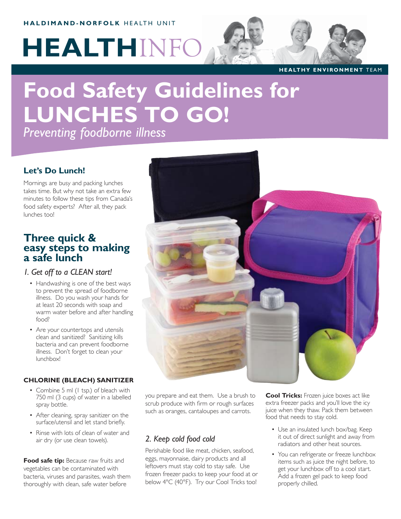# **HALDIMAND-NORFOLK** HEALTH UNIT

# **HEALTH**INFO

**HEALTHY ENVIRONMENT** TEAM

# **Food Safety Guidelines for LUNCHES TO GO!**

*Preventing foodborne illness*

## **Let's Do Lunch!**

Mornings are busy and packing lunches takes time. But why not take an extra few minutes to follow these tips from Canada's food safety experts? After all, they pack lunches too!

# **Three quick & easy steps to making a safe lunch**

#### *1. Get off to a CLEAN start!*

- Handwashing is one of the best ways to prevent the spread of foodborne illness. Do you wash your hands for at least 20 seconds with soap and warm water before and after handling food?
- Are your countertops and utensils clean and sanitized? Sanitizing kills bacteria and can prevent foodborne illness. Don't forget to clean your lunchbox!

#### **CHLORINE (BLEACH) SANITIZER**

- Combine 5 ml (1 tsp.) of bleach with 750 ml (3 cups) of water in a labelled spray bottle.
- After cleaning, spray sanitizer on the surface/utensil and let stand briefly.
- Rinse with lots of clean of water and air dry (or use clean towels).

**Food safe tip:** Because raw fruits and vegetables can be contaminated with bacteria, viruses and parasites, wash them thoroughly with clean, safe water before



you prepare and eat them. Use a brush to scrub produce with firm or rough surfaces such as oranges, cantaloupes and carrots.

## *2. Keep cold food cold*

Perishable food like meat, chicken, seafood, eggs, mayonnaise, dairy products and all leftovers must stay cold to stay safe. Use frozen freezer packs to keep your food at or below 4°C (40°F). Try our Cool Tricks too!

**Cool Tricks:** Frozen juice boxes act like extra freezer packs and you'll love the icy juice when they thaw. Pack them between food that needs to stay cold.

- Use an insulated lunch box/bag. Keep it out of direct sunlight and away from radiators and other heat sources.
- You can refrigerate or freeze lunchbox items such as juice the night before, to get your lunchbox off to a cool start. Add a frozen gel pack to keep food properly chilled.